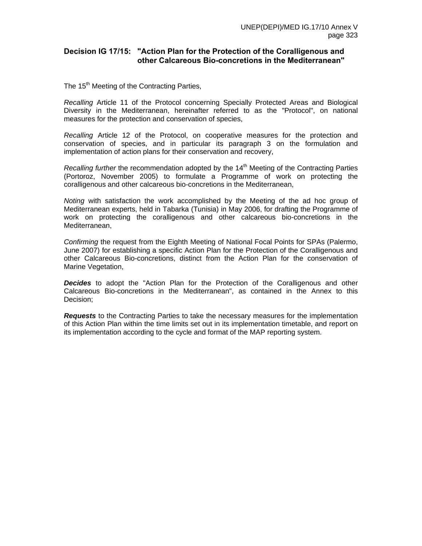# **Decision IG 17/15: "Action Plan for the Protection of the Coralligenous and other Calcareous Bio-concretions in the Mediterranean"**

The 15<sup>th</sup> Meeting of the Contracting Parties,

*Recalling* Article 11 of the Protocol concerning Specially Protected Areas and Biological Diversity in the Mediterranean, hereinafter referred to as the "Protocol", on national measures for the protection and conservation of species,

*Recalling* Article 12 of the Protocol, on cooperative measures for the protection and conservation of species, and in particular its paragraph 3 on the formulation and implementation of action plans for their conservation and recovery,

*Recalling further* the recommendation adopted by the 14<sup>th</sup> Meeting of the Contracting Parties (Portoroz, November 2005) to formulate a Programme of work on protecting the coralligenous and other calcareous bio-concretions in the Mediterranean,

*Noting* with satisfaction the work accomplished by the Meeting of the ad hoc group of Mediterranean experts, held in Tabarka (Tunisia) in May 2006, for drafting the Programme of work on protecting the coralligenous and other calcareous bio-concretions in the Mediterranean,

*Confirming* the request from the Eighth Meeting of National Focal Points for SPAs (Palermo, June 2007) for establishing a specific Action Plan for the Protection of the Coralligenous and other Calcareous Bio-concretions, distinct from the Action Plan for the conservation of Marine Vegetation,

*Decides* to adopt the "Action Plan for the Protection of the Coralligenous and other Calcareous Bio-concretions in the Mediterranean", as contained in the Annex to this Decision;

*Requests* to the Contracting Parties to take the necessary measures for the implementation of this Action Plan within the time limits set out in its implementation timetable, and report on its implementation according to the cycle and format of the MAP reporting system.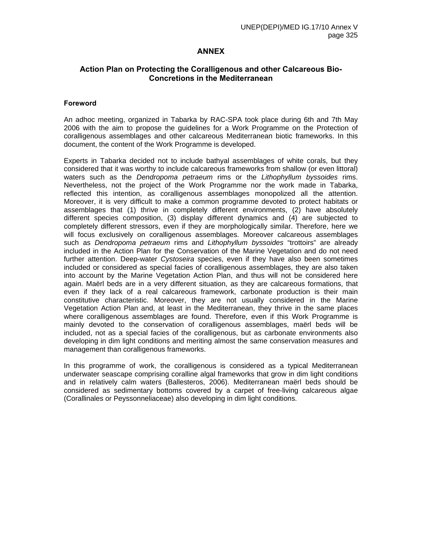# **ANNEX**

# **Action Plan on Protecting the Coralligenous and other Calcareous Bio-Concretions in the Mediterranean**

## **Foreword**

An adhoc meeting, organized in Tabarka by RAC-SPA took place during 6th and 7th May 2006 with the aim to propose the guidelines for a Work Programme on the Protection of coralligenous assemblages and other calcareous Mediterranean biotic frameworks. In this document, the content of the Work Programme is developed.

Experts in Tabarka decided not to include bathyal assemblages of white corals, but they considered that it was worthy to include calcareous frameworks from shallow (or even littoral) waters such as the *Dendropoma petraeum* rims or the *Lithophyllum byssoides* rims. Nevertheless, not the project of the Work Programme nor the work made in Tabarka, reflected this intention, as coralligenous assemblages monopolized all the attention. Moreover, it is very difficult to make a common programme devoted to protect habitats or assemblages that (1) thrive in completely different environments, (2) have absolutely different species composition, (3) display different dynamics and (4) are subjected to completely different stressors, even if they are morphologically similar. Therefore, here we will focus exclusively on coralligenous assemblages. Moreover calcareous assemblages such as *Dendropoma petraeum* rims and *Lithophyllum byssoides* "trottoirs" are already included in the Action Plan for the Conservation of the Marine Vegetation and do not need further attention. Deep-water *Cystoseira* species, even if they have also been sometimes included or considered as special facies of coralligenous assemblages, they are also taken into account by the Marine Vegetation Action Plan, and thus will not be considered here again. Maërl beds are in a very different situation, as they are calcareous formations, that even if they lack of a real calcareous framework, carbonate production is their main constitutive characteristic. Moreover, they are not usually considered in the Marine Vegetation Action Plan and, at least in the Mediterranean, they thrive in the same places where coralligenous assemblages are found. Therefore, even if this Work Programme is mainly devoted to the conservation of coralligenous assemblages, maërl beds will be included, not as a special facies of the coralligenous, but as carbonate environments also developing in dim light conditions and meriting almost the same conservation measures and management than coralligenous frameworks.

In this programme of work, the coralligenous is considered as a typical Mediterranean underwater seascape comprising coralline algal frameworks that grow in dim light conditions and in relatively calm waters (Ballesteros, 2006). Mediterranean maërl beds should be considered as sedimentary bottoms covered by a carpet of free-living calcareous algae (Corallinales or Peyssonneliaceae) also developing in dim light conditions.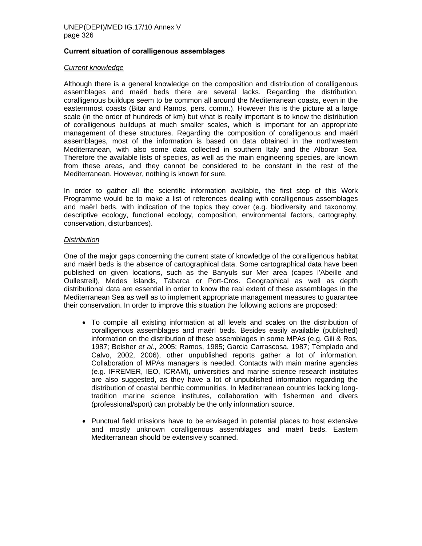## **Current situation of coralligenous assemblages**

## *Current knowledge*

Although there is a general knowledge on the composition and distribution of coralligenous assemblages and maërl beds there are several lacks. Regarding the distribution, coralligenous buildups seem to be common all around the Mediterranean coasts, even in the easternmost coasts (Bitar and Ramos, pers. comm.). However this is the picture at a large scale (in the order of hundreds of km) but what is really important is to know the distribution of coralligenous buildups at much smaller scales, which is important for an appropriate management of these structures. Regarding the composition of coralligenous and maërl assemblages, most of the information is based on data obtained in the northwestern Mediterranean, with also some data collected in southern Italy and the Alboran Sea. Therefore the available lists of species, as well as the main engineering species, are known from these areas, and they cannot be considered to be constant in the rest of the Mediterranean. However, nothing is known for sure.

In order to gather all the scientific information available, the first step of this Work Programme would be to make a list of references dealing with coralligenous assemblages and maërl beds, with indication of the topics they cover (e.g. biodiversity and taxonomy, descriptive ecology, functional ecology, composition, environmental factors, cartography, conservation, disturbances).

## *Distribution*

One of the major gaps concerning the current state of knowledge of the coralligenous habitat and maërl beds is the absence of cartographical data. Some cartographical data have been published on given locations, such as the Banyuls sur Mer area (capes l'Abeille and Oullestreil), Medes Islands, Tabarca or Port-Cros. Geographical as well as depth distributional data are essential in order to know the real extent of these assemblages in the Mediterranean Sea as well as to implement appropriate management measures to guarantee their conservation. In order to improve this situation the following actions are proposed:

- To compile all existing information at all levels and scales on the distribution of coralligenous assemblages and maërl beds. Besides easily available (published) information on the distribution of these assemblages in some MPAs (e.g. Gili & Ros, 1987; Belsher *et al.*, 2005; Ramos, 1985; Garcia Carrascosa, 1987; Templado and Calvo, 2002, 2006), other unpublished reports gather a lot of information. Collaboration of MPAs managers is needed. Contacts with main marine agencies (e.g. IFREMER, IEO, ICRAM), universities and marine science research institutes are also suggested, as they have a lot of unpublished information regarding the distribution of coastal benthic communities. In Mediterranean countries lacking longtradition marine science institutes, collaboration with fishermen and divers (professional/sport) can probably be the only information source.
- Punctual field missions have to be envisaged in potential places to host extensive and mostly unknown coralligenous assemblages and maërl beds. Eastern Mediterranean should be extensively scanned.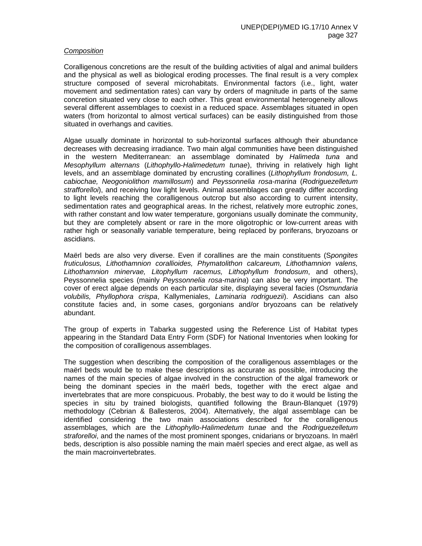## *Composition*

Coralligenous concretions are the result of the building activities of algal and animal builders and the physical as well as biological eroding processes. The final result is a very complex structure composed of several microhabitats. Environmental factors (i.e., light, water movement and sedimentation rates) can vary by orders of magnitude in parts of the same concretion situated very close to each other. This great environmental heterogeneity allows several different assemblages to coexist in a reduced space. Assemblages situated in open waters (from horizontal to almost vertical surfaces) can be easily distinguished from those situated in overhangs and cavities.

Algae usually dominate in horizontal to sub-horizontal surfaces although their abundance decreases with decreasing irradiance. Two main algal communities have been distinguished in the western Mediterranean: an assemblage dominated by *Halimeda tuna* and *Mesophyllum alternans* (*Lithophyllo-Halimedetum tunae*), thriving in relatively high light levels, and an assemblage dominated by encrusting corallines (*Lithophyllum frondosum, L. cabiochae, Neogoniolithon mamillosum*) and *Peyssonnelia rosa-marina* (*Rodriguezelletum strafforelloi*), and receiving low light levels. Animal assemblages can greatly differ according to light levels reaching the coralligenous outcrop but also according to current intensity, sedimentation rates and geographical areas. In the richest, relatively more eutrophic zones, with rather constant and low water temperature, gorgonians usually dominate the community, but they are completely absent or rare in the more oligotrophic or low-current areas with rather high or seasonally variable temperature, being replaced by poriferans, bryozoans or ascidians.

Maërl beds are also very diverse. Even if corallines are the main constituents (S*pongites fruticulosus, Lithothamnion corallioides, Phymatolithon calcareum, Lithothamnion valens, Lithothamnion minervae, Litophyllum racemus, Lithophyllum frondosum*, and others), Peyssonnelia species (mainly *Peyssonnelia rosa-marina*) can also be very important. The cover of erect algae depends on each particular site, displaying several facies (*Osmundaria volubilis, Phyllophora crispa*, Kallymeniales, *Laminaria rodriguezii*). Ascidians can also constitute facies and, in some cases, gorgonians and/or bryozoans can be relatively abundant.

The group of experts in Tabarka suggested using the Reference List of Habitat types appearing in the Standard Data Entry Form (SDF) for National Inventories when looking for the composition of coralligenous assemblages.

The suggestion when describing the composition of the coralligenous assemblages or the maërl beds would be to make these descriptions as accurate as possible, introducing the names of the main species of algae involved in the construction of the algal framework or being the dominant species in the maërl beds, together with the erect algae and invertebrates that are more conspicuous. Probably, the best way to do it would be listing the species in situ by trained biologists, quantified following the Braun-Blanquet (1979) methodology (Cebrian & Ballesteros, 2004). Alternatively, the algal assemblage can be identified considering the two main associations described for the coralligenous assemblages, which are the *Lithophyllo-Halimedetum tunae* and the *Rodriguezelletum straforelloi*, and the names of the most prominent sponges, cnidarians or bryozoans. In maërl beds, description is also possible naming the main maërl species and erect algae, as well as the main macroinvertebrates.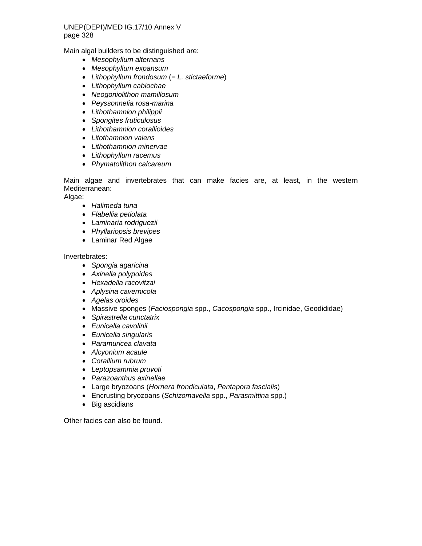Main algal builders to be distinguished are:

- *Mesophyllum alternans*
- *Mesophyllum expansum*
- *Lithophyllum frondosum* (= *L. stictaeforme*)
- *Lithophyllum cabiochae*
- *Neogoniolithon mamillosum*
- *Peyssonnelia rosa-marina*
- *Lithothamnion philippii*
- *Spongites fruticulosus*
- *Lithothamnion corallioides*
- *Litothamnion valens*
- *Lithothamnion minervae*
- *Lithophyllum racemus*
- *Phymatolithon calcareum*

Main algae and invertebrates that can make facies are, at least, in the western Mediterranean:

Algae:

- *Halimeda tuna*
- *Flabellia petiolata*
- *Laminaria rodriguezii*
- *Phyllariopsis brevipes*
- Laminar Red Algae

Invertebrates:

- *Spongia agaricina*
- *Axinella polypoides*
- *Hexadella racovitzai*
- *Aplysina cavernicola*
- *Agelas oroides*
- Massive sponges (*Faciospongia* spp., *Cacospongia* spp., Ircinidae, Geodididae)
- *Spirastrella cunctatrix*
- *Eunicella cavolinii*
- *Eunicella singularis*
- *Paramuricea clavata*
- *Alcyonium acaule*
- *Corallium rubrum*
- *Leptopsammia pruvoti*
- *Parazoanthus axinellae*
- Large bryozoans (*Hornera frondiculata*, *Pentapora fascialis*)
- Encrusting bryozoans (*Schizomavella* spp., *Parasmittina* spp.)
- Big ascidians

Other facies can also be found.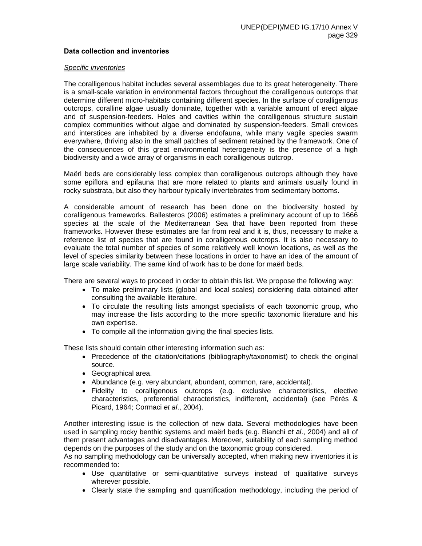## **Data collection and inventories**

#### *Specific inventories*

The coralligenous habitat includes several assemblages due to its great heterogeneity. There is a small-scale variation in environmental factors throughout the coralligenous outcrops that determine different micro-habitats containing different species. In the surface of coralligenous outcrops, coralline algae usually dominate, together with a variable amount of erect algae and of suspension-feeders. Holes and cavities within the coralligenous structure sustain complex communities without algae and dominated by suspension-feeders. Small crevices and interstices are inhabited by a diverse endofauna, while many vagile species swarm everywhere, thriving also in the small patches of sediment retained by the framework. One of the consequences of this great environmental heterogeneity is the presence of a high biodiversity and a wide array of organisms in each coralligenous outcrop.

Maërl beds are considerably less complex than coralligenous outcrops although they have some epiflora and epifauna that are more related to plants and animals usually found in rocky substrata, but also they harbour typically invertebrates from sedimentary bottoms.

A considerable amount of research has been done on the biodiversity hosted by coralligenous frameworks. Ballesteros (2006) estimates a preliminary account of up to 1666 species at the scale of the Mediterranean Sea that have been reported from these frameworks. However these estimates are far from real and it is, thus, necessary to make a reference list of species that are found in coralligenous outcrops. It is also necessary to evaluate the total number of species of some relatively well known locations, as well as the level of species similarity between these locations in order to have an idea of the amount of large scale variability. The same kind of work has to be done for maërl beds.

There are several ways to proceed in order to obtain this list. We propose the following way:

- To make preliminary lists (global and local scales) considering data obtained after consulting the available literature.
- To circulate the resulting lists amongst specialists of each taxonomic group, who may increase the lists according to the more specific taxonomic literature and his own expertise.
- To compile all the information giving the final species lists.

These lists should contain other interesting information such as:

- Precedence of the citation/citations (bibliography/taxonomist) to check the original source.
- Geographical area.
- Abundance (e.g. very abundant, abundant, common, rare, accidental).
- Fidelity to coralligenous outcrops (e.g. exclusive characteristics, elective characteristics, preferential characteristics, indifferent, accidental) (see Pérès & Picard, 1964; Cormaci *et al*., 2004).

Another interesting issue is the collection of new data. Several methodologies have been used in sampling rocky benthic systems and maërl beds (e.g. Bianchi *et al*., 2004) and all of them present advantages and disadvantages. Moreover, suitability of each sampling method depends on the purposes of the study and on the taxonomic group considered.

As no sampling methodology can be universally accepted, when making new inventories it is recommended to:

- Use quantitative or semi-quantitative surveys instead of qualitative surveys wherever possible.
- Clearly state the sampling and quantification methodology, including the period of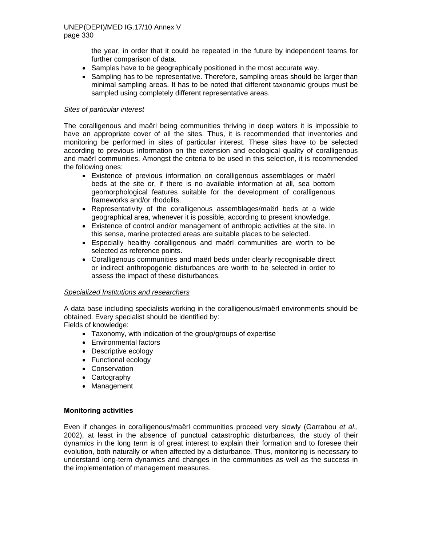the year, in order that it could be repeated in the future by independent teams for further comparison of data.

- Samples have to be geographically positioned in the most accurate way.
- Sampling has to be representative. Therefore, sampling areas should be larger than minimal sampling areas. It has to be noted that different taxonomic groups must be sampled using completely different representative areas.

## *Sites of particular interest*

The coralligenous and maërl being communities thriving in deep waters it is impossible to have an appropriate cover of all the sites. Thus, it is recommended that inventories and monitoring be performed in sites of particular interest. These sites have to be selected according to previous information on the extension and ecological quality of coralligenous and maërl communities. Amongst the criteria to be used in this selection, it is recommended the following ones:

- Existence of previous information on coralligenous assemblages or maërl beds at the site or, if there is no available information at all, sea bottom geomorphological features suitable for the development of coralligenous frameworks and/or rhodolits.
- Representativity of the coralligenous assemblages/maërl beds at a wide geographical area, whenever it is possible, according to present knowledge.
- Existence of control and/or management of anthropic activities at the site. In this sense, marine protected areas are suitable places to be selected.
- Especially healthy coralligenous and maërl communities are worth to be selected as reference points.
- Coralligenous communities and maërl beds under clearly recognisable direct or indirect anthropogenic disturbances are worth to be selected in order to assess the impact of these disturbances.

# *Specialized Institutions and researchers*

A data base including specialists working in the coralligenous/maërl environments should be obtained. Every specialist should be identified by:

Fields of knowledge:

- Taxonomy, with indication of the group/groups of expertise
- Environmental factors
- Descriptive ecology
- Functional ecology
- Conservation
- Cartography
- Management

## **Monitoring activities**

Even if changes in coralligenous/maërl communities proceed very slowly (Garrabou *et al*., 2002), at least in the absence of punctual catastrophic disturbances, the study of their dynamics in the long term is of great interest to explain their formation and to foresee their evolution, both naturally or when affected by a disturbance. Thus, monitoring is necessary to understand long-term dynamics and changes in the communities as well as the success in the implementation of management measures.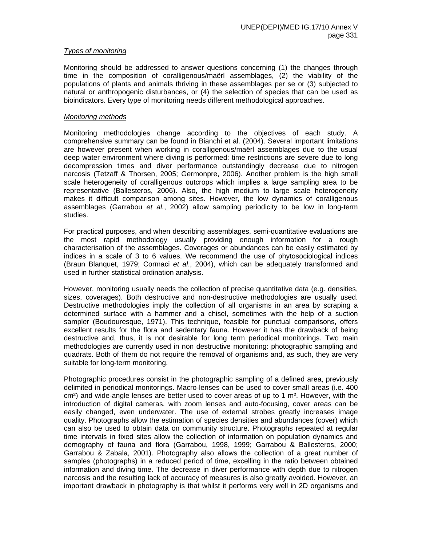## *Types of monitoring*

Monitoring should be addressed to answer questions concerning (1) the changes through time in the composition of coralligenous/maërl assemblages, (2) the viability of the populations of plants and animals thriving in these assemblages per se or (3) subjected to natural or anthropogenic disturbances, or (4) the selection of species that can be used as bioindicators. Every type of monitoring needs different methodological approaches.

## *Monitoring methods*

Monitoring methodologies change according to the objectives of each study. A comprehensive summary can be found in Bianchi et al. (2004). Several important limitations are however present when working in coralligenous/maërl assemblages due to the usual deep water environment where diving is performed: time restrictions are severe due to long decompression times and diver performance outstandingly decrease due to nitrogen narcosis (Tetzaff & Thorsen, 2005; Germonpre, 2006). Another problem is the high small scale heterogeneity of coralligenous outcrops which implies a large sampling area to be representative (Ballesteros, 2006). Also, the high medium to large scale heterogeneity makes it difficult comparison among sites. However, the low dynamics of coralligenous assemblages (Garrabou *et al.*, 2002) allow sampling periodicity to be low in long-term studies.

For practical purposes, and when describing assemblages, semi-quantitative evaluations are the most rapid methodology usually providing enough information for a rough characterisation of the assemblages. Coverages or abundances can be easily estimated by indices in a scale of 3 to 6 values. We recommend the use of phytosociological indices (Braun Blanquet, 1979; Cormaci *et al*., 2004), which can be adequately transformed and used in further statistical ordination analysis.

However, monitoring usually needs the collection of precise quantitative data (e.g. densities, sizes, coverages). Both destructive and non-destructive methodologies are usually used. Destructive methodologies imply the collection of all organisms in an area by scraping a determined surface with a hammer and a chisel, sometimes with the help of a suction sampler (Boudouresque, 1971). This technique, feasible for punctual comparisons, offers excellent results for the flora and sedentary fauna. However it has the drawback of being destructive and, thus, it is not desirable for long term periodical monitorings. Two main methodologies are currently used in non destructive monitoring: photographic sampling and quadrats. Both of them do not require the removal of organisms and, as such, they are very suitable for long-term monitoring.

Photographic procedures consist in the photographic sampling of a defined area, previously delimited in periodical monitorings. Macro-lenses can be used to cover small areas (i.e. 400  $cm<sup>2</sup>$ ) and wide-angle lenses are better used to cover areas of up to 1 m<sup>2</sup>. However, with the introduction of digital cameras, with zoom lenses and auto-focusing, cover areas can be easily changed, even underwater. The use of external strobes greatly increases image quality. Photographs allow the estimation of species densities and abundances (cover) which can also be used to obtain data on community structure. Photographs repeated at regular time intervals in fixed sites allow the collection of information on population dynamics and demography of fauna and flora (Garrabou, 1998, 1999; Garrabou & Ballesteros, 2000; Garrabou & Zabala, 2001). Photography also allows the collection of a great number of samples (photographs) in a reduced period of time, excelling in the ratio between obtained information and diving time. The decrease in diver performance with depth due to nitrogen narcosis and the resulting lack of accuracy of measures is also greatly avoided. However, an important drawback in photography is that whilst it performs very well in 2D organisms and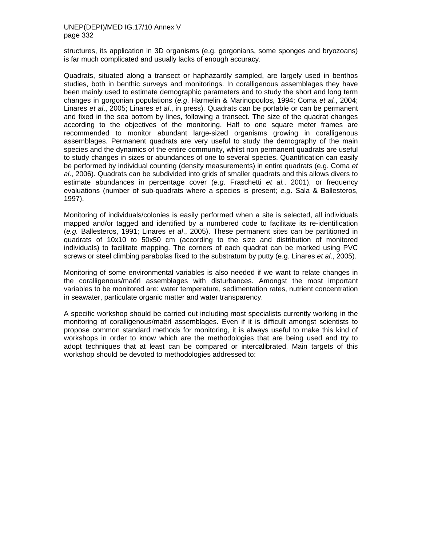structures, its application in 3D organisms (e.g. gorgonians, some sponges and bryozoans) is far much complicated and usually lacks of enough accuracy.

Quadrats, situated along a transect or haphazardly sampled, are largely used in benthos studies, both in benthic surveys and monitorings. In coralligenous assemblages they have been mainly used to estimate demographic parameters and to study the short and long term changes in gorgonian populations (*e.g*. Harmelin & Marinopoulos, 1994; Coma *et al.*, 2004; Linares *et al*., 2005; Linares *et al*., in press). Quadrats can be portable or can be permanent and fixed in the sea bottom by lines, following a transect. The size of the quadrat changes according to the objectives of the monitoring. Half to one square meter frames are recommended to monitor abundant large-sized organisms growing in coralligenous assemblages. Permanent quadrats are very useful to study the demography of the main species and the dynamics of the entire community, whilst non permanent quadrats are useful to study changes in sizes or abundances of one to several species. Quantification can easily be performed by individual counting (density measurements) in entire quadrats (e.g. Coma *et al*., 2006). Quadrats can be subdivided into grids of smaller quadrats and this allows divers to estimate abundances in percentage cover (*e.g*. Fraschetti *et al.*, 2001), or frequency evaluations (number of sub-quadrats where a species is present; *e.g*. Sala & Ballesteros, 1997).

Monitoring of individuals/colonies is easily performed when a site is selected, all individuals mapped and/or tagged and identified by a numbered code to facilitate its re-identification (*e.g.* Ballesteros, 1991; Linares *et al*., 2005). These permanent sites can be partitioned in quadrats of 10x10 to 50x50 cm (according to the size and distribution of monitored individuals) to facilitate mapping. The corners of each quadrat can be marked using PVC screws or steel climbing parabolas fixed to the substratum by putty (e.g. Linares *et al*., 2005).

Monitoring of some environmental variables is also needed if we want to relate changes in the coralligenous/maërl assemblages with disturbances. Amongst the most important variables to be monitored are: water temperature, sedimentation rates, nutrient concentration in seawater, particulate organic matter and water transparency.

A specific workshop should be carried out including most specialists currently working in the monitoring of coralligenous/maërl assemblages. Even if it is difficult amongst scientists to propose common standard methods for monitoring, it is always useful to make this kind of workshops in order to know which are the methodologies that are being used and try to adopt techniques that at least can be compared or intercalibrated. Main targets of this workshop should be devoted to methodologies addressed to: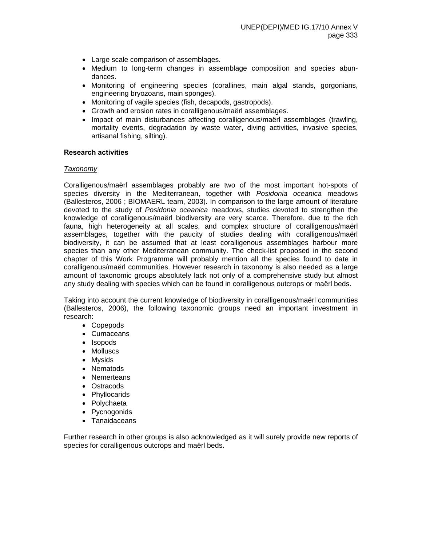- Large scale comparison of assemblages.
- Medium to long-term changes in assemblage composition and species abundances.
- Monitoring of engineering species (corallines, main algal stands, gorgonians, engineering bryozoans, main sponges).
- Monitoring of vagile species (fish, decapods, gastropods).
- Growth and erosion rates in coralligenous/maërl assemblages.
- Impact of main disturbances affecting coralligenous/maërl assemblages (trawling, mortality events, degradation by waste water, diving activities, invasive species, artisanal fishing, silting).

#### **Research activities**

## *Taxonomy*

Coralligenous/maërl assemblages probably are two of the most important hot-spots of species diversity in the Mediterranean, together with *Posidonia oceanica* meadows (Ballesteros, 2006 ; BIOMAERL team, 2003). In comparison to the large amount of literature devoted to the study of *Posidonia oceanica* meadows, studies devoted to strengthen the knowledge of coralligenous/maërl biodiversity are very scarce. Therefore, due to the rich fauna, high heterogeneity at all scales, and complex structure of coralligenous/maërl assemblages, together with the paucity of studies dealing with coralligenous/maërl biodiversity, it can be assumed that at least coralligenous assemblages harbour more species than any other Mediterranean community. The check-list proposed in the second chapter of this Work Programme will probably mention all the species found to date in coralligenous/maërl communities. However research in taxonomy is also needed as a large amount of taxonomic groups absolutely lack not only of a comprehensive study but almost any study dealing with species which can be found in coralligenous outcrops or maërl beds.

Taking into account the current knowledge of biodiversity in coralligenous/maërl communities (Ballesteros, 2006), the following taxonomic groups need an important investment in research:

- Copepods
- Cumaceans
- Isopods
- Molluscs
- Mysids
- Nematods
- Nemerteans
- Ostracods
- Phyllocarids
- Polychaeta
- Pycnogonids
- Tanaidaceans

Further research in other groups is also acknowledged as it will surely provide new reports of species for coralligenous outcrops and maërl beds.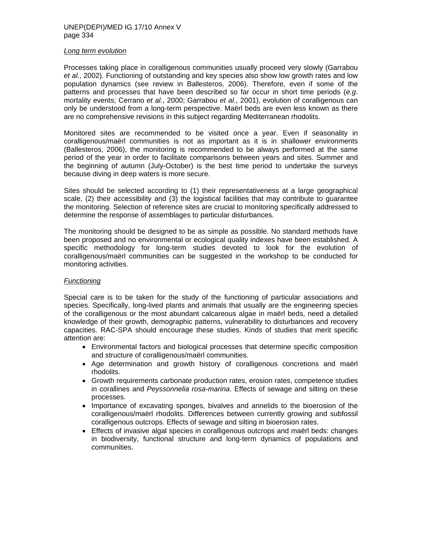#### *Long term evolution*

Processes taking place in coralligenous communities usually proceed very slowly (Garrabou *et al.*, 2002). Functioning of outstanding and key species also show low growth rates and low population dynamics (see review in Ballesteros, 2006). Therefore, even if some of the patterns and processes that have been described so far occur in short time periods (*e.g*. mortality events; Cerrano *et al.*, 2000; Garrabou *et al*., 2001), evolution of coralligenous can only be understood from a long-term perspective. Maërl beds are even less known as there are no comprehensive revisions in this subject regarding Mediterranean rhodolits.

Monitored sites are recommended to be visited once a year. Even if seasonality in coralligenous/maërl communities is not as important as it is in shallower environments (Ballesteros, 2006), the monitoring is recommended to be always performed at the same period of the year in order to facilitate comparisons between years and sites. Summer and the beginning of autumn (July-October) is the best time period to undertake the surveys because diving in deep waters is more secure.

Sites should be selected according to (1) their representativeness at a large geographical scale, (2) their accessibility and (3) the logistical facilities that may contribute to guarantee the monitoring. Selection of reference sites are crucial to monitoring specifically addressed to determine the response of assemblages to particular disturbances.

The monitoring should be designed to be as simple as possible. No standard methods have been proposed and no environmental or ecological quality indexes have been established. A specific methodology for long-term studies devoted to look for the evolution of coralligenous/maërl communities can be suggested in the workshop to be conducted for monitoring activities.

## *Functioning*

Special care is to be taken for the study of the functioning of particular associations and species. Specifically, long-lived plants and animals that usually are the engineering species of the coralligenous or the most abundant calcareous algae in maërl beds, need a detailed knowledge of their growth, demographic patterns, vulnerability to disturbances and recovery capacities. RAC-SPA should encourage these studies. Kinds of studies that merit specific attention are:

- Environmental factors and biological processes that determine specific composition and structure of coralligenous/maërl communities.
- Age determination and growth history of coralligenous concretions and maërl rhodolits.
- Growth requirements carbonate production rates, erosion rates, competence studies in corallines and *Peyssonnelia rosa-marina*. Effects of sewage and silting on these processes.
- Importance of excavating sponges, bivalves and annelids to the bioerosion of the coralligenous/maërl rhodolits. Differences between currently growing and subfossil coralligenous outcrops. Effects of sewage and silting in bioerosion rates.
- Effects of invasive algal species in coralligenous outcrops and maërl beds: changes in biodiversity, functional structure and long-term dynamics of populations and communities.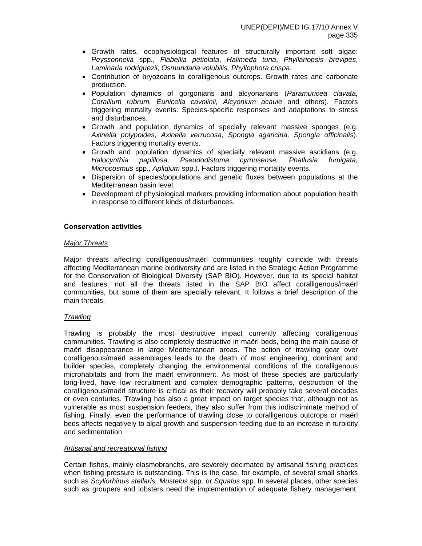- Growth rates, ecophysiological features of structurally important soft algae: *Peyssonnelia* spp., *Flabellia petiolata*, *Halimeda tuna*, *Phyllariopsis brevipes*, *Laminaria rodriguezii*, *Osmundaria volubilis, Phyllophora crispa*.
- Contribution of bryozoans to coralligenous outcrops. Growth rates and carbonate production.
- Population dynamics of gorgonians and alcyonarians (*Paramuricea clavata, Corallium rubrum, Eunicella cavolinii, Alcyonium acaule* and others). Factors triggering mortality events. Species-specific responses and adaptations to stress and disturbances.
- Growth and population dynamics of specially relevant massive sponges (e.g. *Axinella polypoides, Axinella verrucosa, Spongia agaricina, Spongia officinalis*). Factors triggering mortality events.
- Growth and population dynamics of specially relevant massive ascidians (e.g. *Halocynthia papillosa, Pseudodistoma cyrnusense, Phallusia fumigata, Microcosmus* spp., *Aplidium* spp.). Factors triggering mortality events.
- Dispersion of species/populations and genetic fluxes between populations at the Mediterranean basin level.
- Development of physiological markers providing information about population health in response to different kinds of disturbances.

## **Conservation activities**

## *Major Threats*

Major threats affecting coralligenous/maërl communities roughly coincide with threats affecting Mediterranean marine biodiversity and are listed in the Strategic Action Programme for the Conservation of Biological Diversity (SAP BIO). However, due to its special habitat and features, not all the threats listed in the SAP BIO affect coralligenous/maërl communities, but some of them are specially relevant. It follows a brief description of the main threats.

## *Trawling*

Trawling is probably the most destructive impact currently affecting coralligenous communities. Trawling is also completely destructive in maërl beds, being the main cause of maërl disappearance in large Mediterranean areas. The action of trawling gear over coralligenous/maërl assemblages leads to the death of most engineering, dominant and builder species, completely changing the environmental conditions of the coralligenous microhabitats and from the maërl environment. As most of these species are particularly long-lived, have low recruitment and complex demographic patterns, destruction of the coralligenous/maërl structure is critical as their recovery will probably take several decades or even centuries. Trawling has also a great impact on target species that, although not as vulnerable as most suspension feeders, they also suffer from this indiscriminate method of fishing. Finally, even the performance of trawling close to coralligenous outcrops or maërl beds affects negatively to algal growth and suspension-feeding due to an increase in turbidity and sedimentation.

## *Artisanal and recreational fishing*

Certain fishes, mainly elasmobranchs, are severely decimated by artisanal fishing practices when fishing pressure is outstanding. This is the case, for example, of several small sharks such as *Scyliorhinus stellaris, Mustelus* spp. or *Squalus* spp. In several places, other species such as groupers and lobsters need the implementation of adequate fishery management.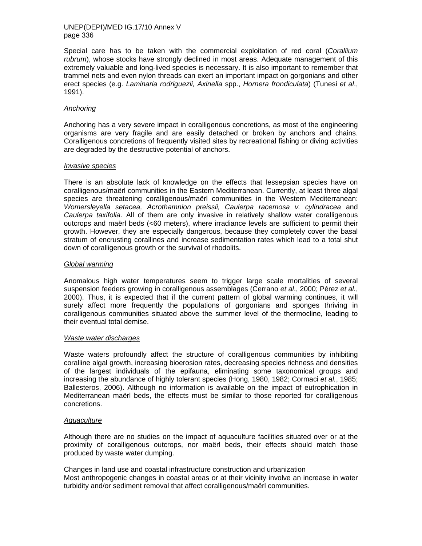Special care has to be taken with the commercial exploitation of red coral (*Corallium rubrum*), whose stocks have strongly declined in most areas. Adequate management of this extremely valuable and long-lived species is necessary. It is also important to remember that trammel nets and even nylon threads can exert an important impact on gorgonians and other erect species (e.g. *Laminaria rodriguezii, Axinella* spp., *Hornera frondiculata*) (Tunesi *et al*., 1991).

## *Anchoring*

Anchoring has a very severe impact in coralligenous concretions, as most of the engineering organisms are very fragile and are easily detached or broken by anchors and chains. Coralligenous concretions of frequently visited sites by recreational fishing or diving activities are degraded by the destructive potential of anchors.

#### *Invasive species*

There is an absolute lack of knowledge on the effects that lessepsian species have on coralligenous/maërl communities in the Eastern Mediterranean. Currently, at least three algal species are threatening coralligenous/maërl communities in the Western Mediterranean: *Womersleyella setacea, Acrothamnion preissii, Caulerpa racemosa v. cylindracea* and *Caulerpa taxifolia*. All of them are only invasive in relatively shallow water coralligenous outcrops and maërl beds (<60 meters), where irradiance levels are sufficient to permit their growth. However, they are especially dangerous, because they completely cover the basal stratum of encrusting corallines and increase sedimentation rates which lead to a total shut down of coralligenous growth or the survival of rhodolits.

## *Global warming*

Anomalous high water temperatures seem to trigger large scale mortalities of several suspension feeders growing in coralligenous assemblages (Cerrano *et al*., 2000; Pérez *et al.*, 2000). Thus, it is expected that if the current pattern of global warming continues, it will surely affect more frequently the populations of gorgonians and sponges thriving in coralligenous communities situated above the summer level of the thermocline, leading to their eventual total demise.

#### *Waste water discharges*

Waste waters profoundly affect the structure of coralligenous communities by inhibiting coralline algal growth, increasing bioerosion rates, decreasing species richness and densities of the largest individuals of the epifauna, eliminating some taxonomical groups and increasing the abundance of highly tolerant species (Hong, 1980, 1982; Cormaci *et al.*, 1985; Ballesteros, 2006). Although no information is available on the impact of eutrophication in Mediterranean maërl beds, the effects must be similar to those reported for coralligenous concretions.

# *Aquaculture*

Although there are no studies on the impact of aquaculture facilities situated over or at the proximity of coralligenous outcrops, nor maërl beds, their effects should match those produced by waste water dumping.

Changes in land use and coastal infrastructure construction and urbanization Most anthropogenic changes in coastal areas or at their vicinity involve an increase in water turbidity and/or sediment removal that affect coralligenous/maërl communities.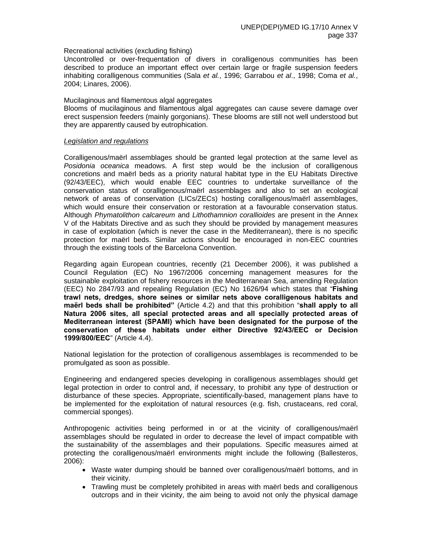## Recreational activities (excluding fishing)

Uncontrolled or over-frequentation of divers in coralligenous communities has been described to produce an important effect over certain large or fragile suspension feeders inhabiting coralligenous communities (Sala *et al.*, 1996; Garrabou *et al*., 1998; Coma *et al.*, 2004; Linares, 2006).

#### Mucilaginous and filamentous algal aggregates

Blooms of mucilaginous and filamentous algal aggregates can cause severe damage over erect suspension feeders (mainly gorgonians). These blooms are still not well understood but they are apparently caused by eutrophication.

#### *Legislation and regulations*

Coralligenous/maërl assemblages should be granted legal protection at the same level as *Posidonia oceanica* meadows. A first step would be the inclusion of coralligenous concretions and maërl beds as a priority natural habitat type in the EU Habitats Directive (92/43/EEC), which would enable EEC countries to undertake surveillance of the conservation status of coralligenous/maërl assemblages and also to set an ecological network of areas of conservation (LICs/ZECs) hosting coralligenous/maërl assemblages, which would ensure their conservation or restoration at a favourable conservation status. Although *Phymatolithon calcareum* and *Lithothamnion corallioides* are present in the Annex V of the Habitats Directive and as such they should be provided by management measures in case of exploitation (which is never the case in the Mediterranean), there is no specific protection for maërl beds. Similar actions should be encouraged in non-EEC countries through the existing tools of the Barcelona Convention.

Regarding again European countries, recently (21 December 2006), it was published a Council Regulation (EC) No 1967/2006 concerning management measures for the sustainable exploitation of fishery resources in the Mediterranean Sea, amending Regulation (EEC) No 2847/93 and repealing Regulation (EC) No 1626/94 which states that "**Fishing trawl nets, dredges, shore seines or similar nets above coralligenous habitats and maërl beds shall be prohibited"** (Article 4.2) and that this prohibition "**shall apply to all Natura 2006 sites, all special protected areas and all specially protected areas of Mediterranean interest (SPAMI) which have been designated for the purpose of the conservation of these habitats under either Directive 92/43/EEC or Decision 1999/800/EEC**" (Article 4.4).

National legislation for the protection of coralligenous assemblages is recommended to be promulgated as soon as possible.

Engineering and endangered species developing in coralligenous assemblages should get legal protection in order to control and, if necessary, to prohibit any type of destruction or disturbance of these species. Appropriate, scientifically-based, management plans have to be implemented for the exploitation of natural resources (e.g. fish, crustaceans, red coral, commercial sponges).

Anthropogenic activities being performed in or at the vicinity of coralligenous/maërl assemblages should be regulated in order to decrease the level of impact compatible with the sustainability of the assemblages and their populations. Specific measures aimed at protecting the coralligenous/maërl environments might include the following (Ballesteros, 2006):

- Waste water dumping should be banned over coralligenous/maërl bottoms, and in their vicinity.
- Trawling must be completely prohibited in areas with maërl beds and coralligenous outcrops and in their vicinity, the aim being to avoid not only the physical damage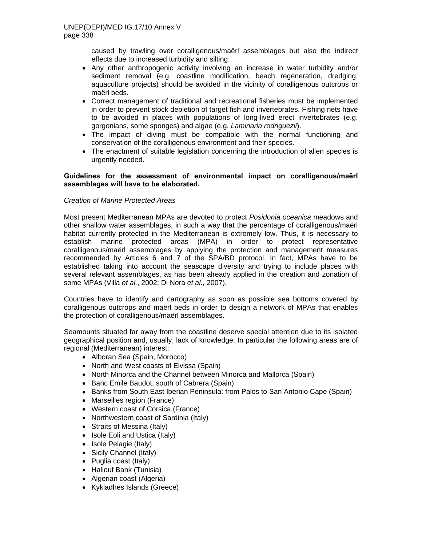caused by trawling over coralligenous/maërl assemblages but also the indirect effects due to increased turbidity and silting.

- Any other anthropogenic activity involving an increase in water turbidity and/or sediment removal (e.g. coastline modification, beach regeneration, dredging, aquaculture projects) should be avoided in the vicinity of coralligenous outcrops or maërl beds.
- Correct management of traditional and recreational fisheries must be implemented in order to prevent stock depletion of target fish and invertebrates. Fishing nets have to be avoided in places with populations of long-lived erect invertebrates (e.g. gorgonians, some sponges) and algae (e.g. *Laminaria rodriguezii*).
- The impact of diving must be compatible with the normal functioning and conservation of the coralligenous environment and their species.
- The enactment of suitable legislation concerning the introduction of alien species is urgently needed.

## **Guidelines for the assessment of environmental impact on coralligenous/maërl assemblages will have to be elaborated.**

# *Creation of Marine Protected Areas*

Most present Mediterranean MPAs are devoted to protect *Posidonia oceanica* meadows and other shallow water assemblages, in such a way that the percentage of coralligenous/maërl habitat currently protected in the Mediterranean is extremely low. Thus, it is necessary to establish marine protected areas (MPA) in order to protect representative coralligenous/maërl assemblages by applying the protection and management measures recommended by Articles 6 and 7 of the SPA/BD protocol. In fact, MPAs have to be established taking into account the seascape diversity and trying to include places with several relevant assemblages, as has been already applied in the creation and zonation of some MPAs (Villa *et al.*, 2002; Di Nora *et al*., 2007).

Countries have to identify and cartography as soon as possible sea bottoms covered by coralligenous outcrops and maërl beds in order to design a network of MPAs that enables the protection of coralligenous/maërl assemblages.

Seamounts situated far away from the coastline deserve special attention due to its isolated geographical position and, usually, lack of knowledge. In particular the following areas are of regional (Mediterranean) interest:

- Alboran Sea (Spain, Morocco)
- North and West coasts of Eivissa (Spain)
- North Minorca and the Channel between Minorca and Mallorca (Spain)
- Banc Emile Baudot, south of Cabrera (Spain)
- Banks from South East Iberian Peninsula: from Palos to San Antonio Cape (Spain)
- Marseilles region (France)
- Western coast of Corsica (France)
- Northwestern coast of Sardinia (Italy)
- Straits of Messina (Italy)
- Isole Eoli and Ustica (Italy)
- Isole Pelagie (Italy)
- Sicily Channel (Italy)
- Puglia coast (Italy)
- Hallouf Bank (Tunisia)
- Algerian coast (Algeria)
- Kykladhes Islands (Greece)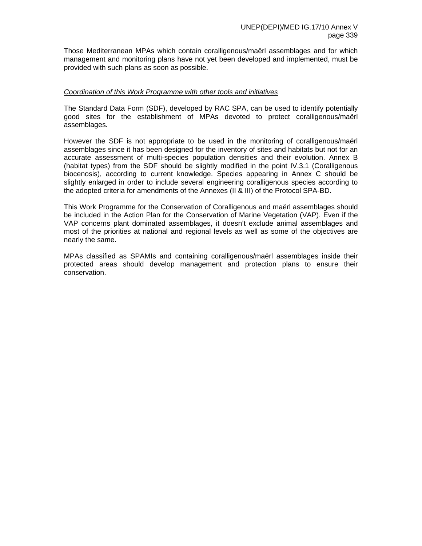Those Mediterranean MPAs which contain coralligenous/maërl assemblages and for which management and monitoring plans have not yet been developed and implemented, must be provided with such plans as soon as possible.

#### *Coordination of this Work Programme with other tools and initiatives*

The Standard Data Form (SDF), developed by RAC SPA, can be used to identify potentially good sites for the establishment of MPAs devoted to protect coralligenous/maërl assemblages.

However the SDF is not appropriate to be used in the monitoring of coralligenous/maërl assemblages since it has been designed for the inventory of sites and habitats but not for an accurate assessment of multi-species population densities and their evolution. Annex B (habitat types) from the SDF should be slightly modified in the point IV.3.1 (Coralligenous biocenosis), according to current knowledge. Species appearing in Annex C should be slightly enlarged in order to include several engineering coralligenous species according to the adopted criteria for amendments of the Annexes (II & III) of the Protocol SPA-BD.

This Work Programme for the Conservation of Coralligenous and maërl assemblages should be included in the Action Plan for the Conservation of Marine Vegetation (VAP). Even if the VAP concerns plant dominated assemblages, it doesn't exclude animal assemblages and most of the priorities at national and regional levels as well as some of the objectives are nearly the same.

MPAs classified as SPAMIs and containing coralligenous/maërl assemblages inside their protected areas should develop management and protection plans to ensure their conservation.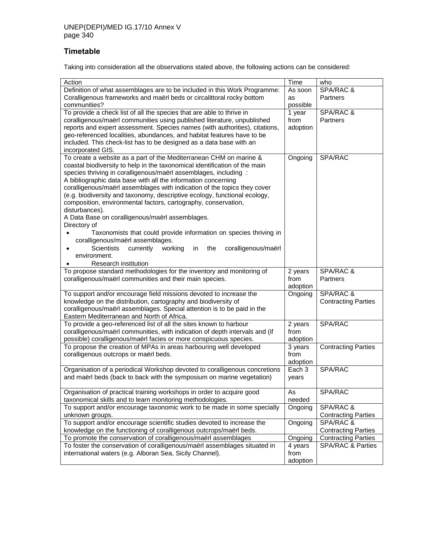# **Timetable**

Taking into consideration all the observations stated above, the following actions can be considered:

| Action<br>Time<br>who<br>SPA/RAC &<br>Definition of what assemblages are to be included in this Work Programme:<br>As soon<br>Coralligenous frameworks and maërl beds or circalittoral rocky bottom<br>Partners<br><b>as</b><br>communities?<br>possible<br>To provide a check list of all the species that are able to thrive in<br>SPA/RAC &<br>1 year<br>coralligenous/maërl communities using published literature, unpublished<br>from<br>Partners<br>reports and expert assessment. Species names (with authorities), citations,<br>adoption<br>geo-referenced localities, abundances, and habitat features have to be<br>included. This check-list has to be designed as a data base with an<br>incorporated GIS.<br>To create a website as a part of the Mediterranean CHM on marine &<br>Ongoing<br>SPA/RAC<br>coastal biodiversity to help in the taxonomical identification of the main<br>species thriving in coralligenous/maërl assemblages, including :<br>A bibliographic data base with all the information concerning<br>coralligenous/maërl assemblages with indication of the topics they cover<br>(e.g. biodiversity and taxonomy, descriptive ecology, functional ecology,<br>composition, environmental factors, cartography, conservation,<br>disturbances).<br>A Data Base on coralligenous/maërl assemblages.<br>Directory of<br>Taxonomists that could provide information on species thriving in<br>coralligenous/maërl assemblages.<br><b>Scientists</b><br>currently<br>working<br>the<br>coralligenous/maërl<br>in.<br>environment.<br>Research institution<br>To propose standard methodologies for the inventory and monitoring of<br>SPA/RAC &<br>2 years<br>coralligenous/maërl communities and their main species.<br>from<br>Partners<br>adoption<br>SPA/RAC &<br>To support and/or encourage field missions devoted to increase the<br>Ongoing<br>knowledge on the distribution, cartography and biodiversity of<br><b>Contracting Parties</b><br>coralligenous/maërl assemblages. Special attention is to be paid in the<br>Eastern Mediterranean and North of Africa.<br>To provide a geo-referenced list of all the sites known to harbour<br>2 years<br>SPA/RAC<br>coralligenous/maërl communities, with indication of depth intervals and (if<br>from<br>possible) coralligenous/maërl facies or more conspicuous species.<br>adoption<br>To propose the creation of MPAs in areas harbouring well developed<br>3 years<br><b>Contracting Parties</b><br>coralligenous outcrops or maërl beds.<br>from<br>adoption<br>Each <sub>3</sub><br>SPA/RAC<br>Organisation of a periodical Workshop devoted to coralligenous concretions<br>and maërl beds (back to back with the symposium on marine vegetation)<br>years<br>SPA/RAC<br>Organisation of practical training workshops in order to acquire good<br>As<br>taxonomical skills and to learn monitoring methodologies.<br>needed<br>To support and/or encourage taxonomic work to be made in some specially<br>SPA/RAC &<br>Ongoing<br>unknown groups.<br><b>Contracting Parties</b><br>To support and/or encourage scientific studies devoted to increase the<br>SPA/RAC &<br>Ongoing<br>knowledge on the functioning of coralligenous outcrops/maërl beds.<br><b>Contracting Parties</b><br>To promote the conservation of coralligenous/maërl assemblages<br>Ongoing<br><b>Contracting Parties</b><br>To foster the conservation of coralligenous/maerl assemblages situated in<br><b>SPA/RAC &amp; Parties</b><br>4 years<br>international waters (e.g. Alboran Sea, Sicily Channel).<br>from<br>adoption |  |  |
|-------------------------------------------------------------------------------------------------------------------------------------------------------------------------------------------------------------------------------------------------------------------------------------------------------------------------------------------------------------------------------------------------------------------------------------------------------------------------------------------------------------------------------------------------------------------------------------------------------------------------------------------------------------------------------------------------------------------------------------------------------------------------------------------------------------------------------------------------------------------------------------------------------------------------------------------------------------------------------------------------------------------------------------------------------------------------------------------------------------------------------------------------------------------------------------------------------------------------------------------------------------------------------------------------------------------------------------------------------------------------------------------------------------------------------------------------------------------------------------------------------------------------------------------------------------------------------------------------------------------------------------------------------------------------------------------------------------------------------------------------------------------------------------------------------------------------------------------------------------------------------------------------------------------------------------------------------------------------------------------------------------------------------------------------------------------------------------------------------------------------------------------------------------------------------------------------------------------------------------------------------------------------------------------------------------------------------------------------------------------------------------------------------------------------------------------------------------------------------------------------------------------------------------------------------------------------------------------------------------------------------------------------------------------------------------------------------------------------------------------------------------------------------------------------------------------------------------------------------------------------------------------------------------------------------------------------------------------------------------------------------------------------------------------------------------------------------------------------------------------------------------------------------------------------------------------------------------------------------------------------------------------------------------------------------------------------------------------------------------------------------------------------------------------------------------------------------------------------------------------------------------------------------------------------------------------------------------------------------------|--|--|
|                                                                                                                                                                                                                                                                                                                                                                                                                                                                                                                                                                                                                                                                                                                                                                                                                                                                                                                                                                                                                                                                                                                                                                                                                                                                                                                                                                                                                                                                                                                                                                                                                                                                                                                                                                                                                                                                                                                                                                                                                                                                                                                                                                                                                                                                                                                                                                                                                                                                                                                                                                                                                                                                                                                                                                                                                                                                                                                                                                                                                                                                                                                                                                                                                                                                                                                                                                                                                                                                                                                                                                                                             |  |  |
|                                                                                                                                                                                                                                                                                                                                                                                                                                                                                                                                                                                                                                                                                                                                                                                                                                                                                                                                                                                                                                                                                                                                                                                                                                                                                                                                                                                                                                                                                                                                                                                                                                                                                                                                                                                                                                                                                                                                                                                                                                                                                                                                                                                                                                                                                                                                                                                                                                                                                                                                                                                                                                                                                                                                                                                                                                                                                                                                                                                                                                                                                                                                                                                                                                                                                                                                                                                                                                                                                                                                                                                                             |  |  |
|                                                                                                                                                                                                                                                                                                                                                                                                                                                                                                                                                                                                                                                                                                                                                                                                                                                                                                                                                                                                                                                                                                                                                                                                                                                                                                                                                                                                                                                                                                                                                                                                                                                                                                                                                                                                                                                                                                                                                                                                                                                                                                                                                                                                                                                                                                                                                                                                                                                                                                                                                                                                                                                                                                                                                                                                                                                                                                                                                                                                                                                                                                                                                                                                                                                                                                                                                                                                                                                                                                                                                                                                             |  |  |
|                                                                                                                                                                                                                                                                                                                                                                                                                                                                                                                                                                                                                                                                                                                                                                                                                                                                                                                                                                                                                                                                                                                                                                                                                                                                                                                                                                                                                                                                                                                                                                                                                                                                                                                                                                                                                                                                                                                                                                                                                                                                                                                                                                                                                                                                                                                                                                                                                                                                                                                                                                                                                                                                                                                                                                                                                                                                                                                                                                                                                                                                                                                                                                                                                                                                                                                                                                                                                                                                                                                                                                                                             |  |  |
|                                                                                                                                                                                                                                                                                                                                                                                                                                                                                                                                                                                                                                                                                                                                                                                                                                                                                                                                                                                                                                                                                                                                                                                                                                                                                                                                                                                                                                                                                                                                                                                                                                                                                                                                                                                                                                                                                                                                                                                                                                                                                                                                                                                                                                                                                                                                                                                                                                                                                                                                                                                                                                                                                                                                                                                                                                                                                                                                                                                                                                                                                                                                                                                                                                                                                                                                                                                                                                                                                                                                                                                                             |  |  |
|                                                                                                                                                                                                                                                                                                                                                                                                                                                                                                                                                                                                                                                                                                                                                                                                                                                                                                                                                                                                                                                                                                                                                                                                                                                                                                                                                                                                                                                                                                                                                                                                                                                                                                                                                                                                                                                                                                                                                                                                                                                                                                                                                                                                                                                                                                                                                                                                                                                                                                                                                                                                                                                                                                                                                                                                                                                                                                                                                                                                                                                                                                                                                                                                                                                                                                                                                                                                                                                                                                                                                                                                             |  |  |
|                                                                                                                                                                                                                                                                                                                                                                                                                                                                                                                                                                                                                                                                                                                                                                                                                                                                                                                                                                                                                                                                                                                                                                                                                                                                                                                                                                                                                                                                                                                                                                                                                                                                                                                                                                                                                                                                                                                                                                                                                                                                                                                                                                                                                                                                                                                                                                                                                                                                                                                                                                                                                                                                                                                                                                                                                                                                                                                                                                                                                                                                                                                                                                                                                                                                                                                                                                                                                                                                                                                                                                                                             |  |  |
|                                                                                                                                                                                                                                                                                                                                                                                                                                                                                                                                                                                                                                                                                                                                                                                                                                                                                                                                                                                                                                                                                                                                                                                                                                                                                                                                                                                                                                                                                                                                                                                                                                                                                                                                                                                                                                                                                                                                                                                                                                                                                                                                                                                                                                                                                                                                                                                                                                                                                                                                                                                                                                                                                                                                                                                                                                                                                                                                                                                                                                                                                                                                                                                                                                                                                                                                                                                                                                                                                                                                                                                                             |  |  |
|                                                                                                                                                                                                                                                                                                                                                                                                                                                                                                                                                                                                                                                                                                                                                                                                                                                                                                                                                                                                                                                                                                                                                                                                                                                                                                                                                                                                                                                                                                                                                                                                                                                                                                                                                                                                                                                                                                                                                                                                                                                                                                                                                                                                                                                                                                                                                                                                                                                                                                                                                                                                                                                                                                                                                                                                                                                                                                                                                                                                                                                                                                                                                                                                                                                                                                                                                                                                                                                                                                                                                                                                             |  |  |
|                                                                                                                                                                                                                                                                                                                                                                                                                                                                                                                                                                                                                                                                                                                                                                                                                                                                                                                                                                                                                                                                                                                                                                                                                                                                                                                                                                                                                                                                                                                                                                                                                                                                                                                                                                                                                                                                                                                                                                                                                                                                                                                                                                                                                                                                                                                                                                                                                                                                                                                                                                                                                                                                                                                                                                                                                                                                                                                                                                                                                                                                                                                                                                                                                                                                                                                                                                                                                                                                                                                                                                                                             |  |  |
|                                                                                                                                                                                                                                                                                                                                                                                                                                                                                                                                                                                                                                                                                                                                                                                                                                                                                                                                                                                                                                                                                                                                                                                                                                                                                                                                                                                                                                                                                                                                                                                                                                                                                                                                                                                                                                                                                                                                                                                                                                                                                                                                                                                                                                                                                                                                                                                                                                                                                                                                                                                                                                                                                                                                                                                                                                                                                                                                                                                                                                                                                                                                                                                                                                                                                                                                                                                                                                                                                                                                                                                                             |  |  |
|                                                                                                                                                                                                                                                                                                                                                                                                                                                                                                                                                                                                                                                                                                                                                                                                                                                                                                                                                                                                                                                                                                                                                                                                                                                                                                                                                                                                                                                                                                                                                                                                                                                                                                                                                                                                                                                                                                                                                                                                                                                                                                                                                                                                                                                                                                                                                                                                                                                                                                                                                                                                                                                                                                                                                                                                                                                                                                                                                                                                                                                                                                                                                                                                                                                                                                                                                                                                                                                                                                                                                                                                             |  |  |
|                                                                                                                                                                                                                                                                                                                                                                                                                                                                                                                                                                                                                                                                                                                                                                                                                                                                                                                                                                                                                                                                                                                                                                                                                                                                                                                                                                                                                                                                                                                                                                                                                                                                                                                                                                                                                                                                                                                                                                                                                                                                                                                                                                                                                                                                                                                                                                                                                                                                                                                                                                                                                                                                                                                                                                                                                                                                                                                                                                                                                                                                                                                                                                                                                                                                                                                                                                                                                                                                                                                                                                                                             |  |  |
|                                                                                                                                                                                                                                                                                                                                                                                                                                                                                                                                                                                                                                                                                                                                                                                                                                                                                                                                                                                                                                                                                                                                                                                                                                                                                                                                                                                                                                                                                                                                                                                                                                                                                                                                                                                                                                                                                                                                                                                                                                                                                                                                                                                                                                                                                                                                                                                                                                                                                                                                                                                                                                                                                                                                                                                                                                                                                                                                                                                                                                                                                                                                                                                                                                                                                                                                                                                                                                                                                                                                                                                                             |  |  |
|                                                                                                                                                                                                                                                                                                                                                                                                                                                                                                                                                                                                                                                                                                                                                                                                                                                                                                                                                                                                                                                                                                                                                                                                                                                                                                                                                                                                                                                                                                                                                                                                                                                                                                                                                                                                                                                                                                                                                                                                                                                                                                                                                                                                                                                                                                                                                                                                                                                                                                                                                                                                                                                                                                                                                                                                                                                                                                                                                                                                                                                                                                                                                                                                                                                                                                                                                                                                                                                                                                                                                                                                             |  |  |
|                                                                                                                                                                                                                                                                                                                                                                                                                                                                                                                                                                                                                                                                                                                                                                                                                                                                                                                                                                                                                                                                                                                                                                                                                                                                                                                                                                                                                                                                                                                                                                                                                                                                                                                                                                                                                                                                                                                                                                                                                                                                                                                                                                                                                                                                                                                                                                                                                                                                                                                                                                                                                                                                                                                                                                                                                                                                                                                                                                                                                                                                                                                                                                                                                                                                                                                                                                                                                                                                                                                                                                                                             |  |  |
|                                                                                                                                                                                                                                                                                                                                                                                                                                                                                                                                                                                                                                                                                                                                                                                                                                                                                                                                                                                                                                                                                                                                                                                                                                                                                                                                                                                                                                                                                                                                                                                                                                                                                                                                                                                                                                                                                                                                                                                                                                                                                                                                                                                                                                                                                                                                                                                                                                                                                                                                                                                                                                                                                                                                                                                                                                                                                                                                                                                                                                                                                                                                                                                                                                                                                                                                                                                                                                                                                                                                                                                                             |  |  |
|                                                                                                                                                                                                                                                                                                                                                                                                                                                                                                                                                                                                                                                                                                                                                                                                                                                                                                                                                                                                                                                                                                                                                                                                                                                                                                                                                                                                                                                                                                                                                                                                                                                                                                                                                                                                                                                                                                                                                                                                                                                                                                                                                                                                                                                                                                                                                                                                                                                                                                                                                                                                                                                                                                                                                                                                                                                                                                                                                                                                                                                                                                                                                                                                                                                                                                                                                                                                                                                                                                                                                                                                             |  |  |
|                                                                                                                                                                                                                                                                                                                                                                                                                                                                                                                                                                                                                                                                                                                                                                                                                                                                                                                                                                                                                                                                                                                                                                                                                                                                                                                                                                                                                                                                                                                                                                                                                                                                                                                                                                                                                                                                                                                                                                                                                                                                                                                                                                                                                                                                                                                                                                                                                                                                                                                                                                                                                                                                                                                                                                                                                                                                                                                                                                                                                                                                                                                                                                                                                                                                                                                                                                                                                                                                                                                                                                                                             |  |  |
|                                                                                                                                                                                                                                                                                                                                                                                                                                                                                                                                                                                                                                                                                                                                                                                                                                                                                                                                                                                                                                                                                                                                                                                                                                                                                                                                                                                                                                                                                                                                                                                                                                                                                                                                                                                                                                                                                                                                                                                                                                                                                                                                                                                                                                                                                                                                                                                                                                                                                                                                                                                                                                                                                                                                                                                                                                                                                                                                                                                                                                                                                                                                                                                                                                                                                                                                                                                                                                                                                                                                                                                                             |  |  |
|                                                                                                                                                                                                                                                                                                                                                                                                                                                                                                                                                                                                                                                                                                                                                                                                                                                                                                                                                                                                                                                                                                                                                                                                                                                                                                                                                                                                                                                                                                                                                                                                                                                                                                                                                                                                                                                                                                                                                                                                                                                                                                                                                                                                                                                                                                                                                                                                                                                                                                                                                                                                                                                                                                                                                                                                                                                                                                                                                                                                                                                                                                                                                                                                                                                                                                                                                                                                                                                                                                                                                                                                             |  |  |
|                                                                                                                                                                                                                                                                                                                                                                                                                                                                                                                                                                                                                                                                                                                                                                                                                                                                                                                                                                                                                                                                                                                                                                                                                                                                                                                                                                                                                                                                                                                                                                                                                                                                                                                                                                                                                                                                                                                                                                                                                                                                                                                                                                                                                                                                                                                                                                                                                                                                                                                                                                                                                                                                                                                                                                                                                                                                                                                                                                                                                                                                                                                                                                                                                                                                                                                                                                                                                                                                                                                                                                                                             |  |  |
|                                                                                                                                                                                                                                                                                                                                                                                                                                                                                                                                                                                                                                                                                                                                                                                                                                                                                                                                                                                                                                                                                                                                                                                                                                                                                                                                                                                                                                                                                                                                                                                                                                                                                                                                                                                                                                                                                                                                                                                                                                                                                                                                                                                                                                                                                                                                                                                                                                                                                                                                                                                                                                                                                                                                                                                                                                                                                                                                                                                                                                                                                                                                                                                                                                                                                                                                                                                                                                                                                                                                                                                                             |  |  |
|                                                                                                                                                                                                                                                                                                                                                                                                                                                                                                                                                                                                                                                                                                                                                                                                                                                                                                                                                                                                                                                                                                                                                                                                                                                                                                                                                                                                                                                                                                                                                                                                                                                                                                                                                                                                                                                                                                                                                                                                                                                                                                                                                                                                                                                                                                                                                                                                                                                                                                                                                                                                                                                                                                                                                                                                                                                                                                                                                                                                                                                                                                                                                                                                                                                                                                                                                                                                                                                                                                                                                                                                             |  |  |
|                                                                                                                                                                                                                                                                                                                                                                                                                                                                                                                                                                                                                                                                                                                                                                                                                                                                                                                                                                                                                                                                                                                                                                                                                                                                                                                                                                                                                                                                                                                                                                                                                                                                                                                                                                                                                                                                                                                                                                                                                                                                                                                                                                                                                                                                                                                                                                                                                                                                                                                                                                                                                                                                                                                                                                                                                                                                                                                                                                                                                                                                                                                                                                                                                                                                                                                                                                                                                                                                                                                                                                                                             |  |  |
|                                                                                                                                                                                                                                                                                                                                                                                                                                                                                                                                                                                                                                                                                                                                                                                                                                                                                                                                                                                                                                                                                                                                                                                                                                                                                                                                                                                                                                                                                                                                                                                                                                                                                                                                                                                                                                                                                                                                                                                                                                                                                                                                                                                                                                                                                                                                                                                                                                                                                                                                                                                                                                                                                                                                                                                                                                                                                                                                                                                                                                                                                                                                                                                                                                                                                                                                                                                                                                                                                                                                                                                                             |  |  |
|                                                                                                                                                                                                                                                                                                                                                                                                                                                                                                                                                                                                                                                                                                                                                                                                                                                                                                                                                                                                                                                                                                                                                                                                                                                                                                                                                                                                                                                                                                                                                                                                                                                                                                                                                                                                                                                                                                                                                                                                                                                                                                                                                                                                                                                                                                                                                                                                                                                                                                                                                                                                                                                                                                                                                                                                                                                                                                                                                                                                                                                                                                                                                                                                                                                                                                                                                                                                                                                                                                                                                                                                             |  |  |
|                                                                                                                                                                                                                                                                                                                                                                                                                                                                                                                                                                                                                                                                                                                                                                                                                                                                                                                                                                                                                                                                                                                                                                                                                                                                                                                                                                                                                                                                                                                                                                                                                                                                                                                                                                                                                                                                                                                                                                                                                                                                                                                                                                                                                                                                                                                                                                                                                                                                                                                                                                                                                                                                                                                                                                                                                                                                                                                                                                                                                                                                                                                                                                                                                                                                                                                                                                                                                                                                                                                                                                                                             |  |  |
|                                                                                                                                                                                                                                                                                                                                                                                                                                                                                                                                                                                                                                                                                                                                                                                                                                                                                                                                                                                                                                                                                                                                                                                                                                                                                                                                                                                                                                                                                                                                                                                                                                                                                                                                                                                                                                                                                                                                                                                                                                                                                                                                                                                                                                                                                                                                                                                                                                                                                                                                                                                                                                                                                                                                                                                                                                                                                                                                                                                                                                                                                                                                                                                                                                                                                                                                                                                                                                                                                                                                                                                                             |  |  |
|                                                                                                                                                                                                                                                                                                                                                                                                                                                                                                                                                                                                                                                                                                                                                                                                                                                                                                                                                                                                                                                                                                                                                                                                                                                                                                                                                                                                                                                                                                                                                                                                                                                                                                                                                                                                                                                                                                                                                                                                                                                                                                                                                                                                                                                                                                                                                                                                                                                                                                                                                                                                                                                                                                                                                                                                                                                                                                                                                                                                                                                                                                                                                                                                                                                                                                                                                                                                                                                                                                                                                                                                             |  |  |
|                                                                                                                                                                                                                                                                                                                                                                                                                                                                                                                                                                                                                                                                                                                                                                                                                                                                                                                                                                                                                                                                                                                                                                                                                                                                                                                                                                                                                                                                                                                                                                                                                                                                                                                                                                                                                                                                                                                                                                                                                                                                                                                                                                                                                                                                                                                                                                                                                                                                                                                                                                                                                                                                                                                                                                                                                                                                                                                                                                                                                                                                                                                                                                                                                                                                                                                                                                                                                                                                                                                                                                                                             |  |  |
|                                                                                                                                                                                                                                                                                                                                                                                                                                                                                                                                                                                                                                                                                                                                                                                                                                                                                                                                                                                                                                                                                                                                                                                                                                                                                                                                                                                                                                                                                                                                                                                                                                                                                                                                                                                                                                                                                                                                                                                                                                                                                                                                                                                                                                                                                                                                                                                                                                                                                                                                                                                                                                                                                                                                                                                                                                                                                                                                                                                                                                                                                                                                                                                                                                                                                                                                                                                                                                                                                                                                                                                                             |  |  |
|                                                                                                                                                                                                                                                                                                                                                                                                                                                                                                                                                                                                                                                                                                                                                                                                                                                                                                                                                                                                                                                                                                                                                                                                                                                                                                                                                                                                                                                                                                                                                                                                                                                                                                                                                                                                                                                                                                                                                                                                                                                                                                                                                                                                                                                                                                                                                                                                                                                                                                                                                                                                                                                                                                                                                                                                                                                                                                                                                                                                                                                                                                                                                                                                                                                                                                                                                                                                                                                                                                                                                                                                             |  |  |
|                                                                                                                                                                                                                                                                                                                                                                                                                                                                                                                                                                                                                                                                                                                                                                                                                                                                                                                                                                                                                                                                                                                                                                                                                                                                                                                                                                                                                                                                                                                                                                                                                                                                                                                                                                                                                                                                                                                                                                                                                                                                                                                                                                                                                                                                                                                                                                                                                                                                                                                                                                                                                                                                                                                                                                                                                                                                                                                                                                                                                                                                                                                                                                                                                                                                                                                                                                                                                                                                                                                                                                                                             |  |  |
|                                                                                                                                                                                                                                                                                                                                                                                                                                                                                                                                                                                                                                                                                                                                                                                                                                                                                                                                                                                                                                                                                                                                                                                                                                                                                                                                                                                                                                                                                                                                                                                                                                                                                                                                                                                                                                                                                                                                                                                                                                                                                                                                                                                                                                                                                                                                                                                                                                                                                                                                                                                                                                                                                                                                                                                                                                                                                                                                                                                                                                                                                                                                                                                                                                                                                                                                                                                                                                                                                                                                                                                                             |  |  |
|                                                                                                                                                                                                                                                                                                                                                                                                                                                                                                                                                                                                                                                                                                                                                                                                                                                                                                                                                                                                                                                                                                                                                                                                                                                                                                                                                                                                                                                                                                                                                                                                                                                                                                                                                                                                                                                                                                                                                                                                                                                                                                                                                                                                                                                                                                                                                                                                                                                                                                                                                                                                                                                                                                                                                                                                                                                                                                                                                                                                                                                                                                                                                                                                                                                                                                                                                                                                                                                                                                                                                                                                             |  |  |
|                                                                                                                                                                                                                                                                                                                                                                                                                                                                                                                                                                                                                                                                                                                                                                                                                                                                                                                                                                                                                                                                                                                                                                                                                                                                                                                                                                                                                                                                                                                                                                                                                                                                                                                                                                                                                                                                                                                                                                                                                                                                                                                                                                                                                                                                                                                                                                                                                                                                                                                                                                                                                                                                                                                                                                                                                                                                                                                                                                                                                                                                                                                                                                                                                                                                                                                                                                                                                                                                                                                                                                                                             |  |  |
|                                                                                                                                                                                                                                                                                                                                                                                                                                                                                                                                                                                                                                                                                                                                                                                                                                                                                                                                                                                                                                                                                                                                                                                                                                                                                                                                                                                                                                                                                                                                                                                                                                                                                                                                                                                                                                                                                                                                                                                                                                                                                                                                                                                                                                                                                                                                                                                                                                                                                                                                                                                                                                                                                                                                                                                                                                                                                                                                                                                                                                                                                                                                                                                                                                                                                                                                                                                                                                                                                                                                                                                                             |  |  |
|                                                                                                                                                                                                                                                                                                                                                                                                                                                                                                                                                                                                                                                                                                                                                                                                                                                                                                                                                                                                                                                                                                                                                                                                                                                                                                                                                                                                                                                                                                                                                                                                                                                                                                                                                                                                                                                                                                                                                                                                                                                                                                                                                                                                                                                                                                                                                                                                                                                                                                                                                                                                                                                                                                                                                                                                                                                                                                                                                                                                                                                                                                                                                                                                                                                                                                                                                                                                                                                                                                                                                                                                             |  |  |
|                                                                                                                                                                                                                                                                                                                                                                                                                                                                                                                                                                                                                                                                                                                                                                                                                                                                                                                                                                                                                                                                                                                                                                                                                                                                                                                                                                                                                                                                                                                                                                                                                                                                                                                                                                                                                                                                                                                                                                                                                                                                                                                                                                                                                                                                                                                                                                                                                                                                                                                                                                                                                                                                                                                                                                                                                                                                                                                                                                                                                                                                                                                                                                                                                                                                                                                                                                                                                                                                                                                                                                                                             |  |  |
|                                                                                                                                                                                                                                                                                                                                                                                                                                                                                                                                                                                                                                                                                                                                                                                                                                                                                                                                                                                                                                                                                                                                                                                                                                                                                                                                                                                                                                                                                                                                                                                                                                                                                                                                                                                                                                                                                                                                                                                                                                                                                                                                                                                                                                                                                                                                                                                                                                                                                                                                                                                                                                                                                                                                                                                                                                                                                                                                                                                                                                                                                                                                                                                                                                                                                                                                                                                                                                                                                                                                                                                                             |  |  |
|                                                                                                                                                                                                                                                                                                                                                                                                                                                                                                                                                                                                                                                                                                                                                                                                                                                                                                                                                                                                                                                                                                                                                                                                                                                                                                                                                                                                                                                                                                                                                                                                                                                                                                                                                                                                                                                                                                                                                                                                                                                                                                                                                                                                                                                                                                                                                                                                                                                                                                                                                                                                                                                                                                                                                                                                                                                                                                                                                                                                                                                                                                                                                                                                                                                                                                                                                                                                                                                                                                                                                                                                             |  |  |
|                                                                                                                                                                                                                                                                                                                                                                                                                                                                                                                                                                                                                                                                                                                                                                                                                                                                                                                                                                                                                                                                                                                                                                                                                                                                                                                                                                                                                                                                                                                                                                                                                                                                                                                                                                                                                                                                                                                                                                                                                                                                                                                                                                                                                                                                                                                                                                                                                                                                                                                                                                                                                                                                                                                                                                                                                                                                                                                                                                                                                                                                                                                                                                                                                                                                                                                                                                                                                                                                                                                                                                                                             |  |  |
|                                                                                                                                                                                                                                                                                                                                                                                                                                                                                                                                                                                                                                                                                                                                                                                                                                                                                                                                                                                                                                                                                                                                                                                                                                                                                                                                                                                                                                                                                                                                                                                                                                                                                                                                                                                                                                                                                                                                                                                                                                                                                                                                                                                                                                                                                                                                                                                                                                                                                                                                                                                                                                                                                                                                                                                                                                                                                                                                                                                                                                                                                                                                                                                                                                                                                                                                                                                                                                                                                                                                                                                                             |  |  |
|                                                                                                                                                                                                                                                                                                                                                                                                                                                                                                                                                                                                                                                                                                                                                                                                                                                                                                                                                                                                                                                                                                                                                                                                                                                                                                                                                                                                                                                                                                                                                                                                                                                                                                                                                                                                                                                                                                                                                                                                                                                                                                                                                                                                                                                                                                                                                                                                                                                                                                                                                                                                                                                                                                                                                                                                                                                                                                                                                                                                                                                                                                                                                                                                                                                                                                                                                                                                                                                                                                                                                                                                             |  |  |
|                                                                                                                                                                                                                                                                                                                                                                                                                                                                                                                                                                                                                                                                                                                                                                                                                                                                                                                                                                                                                                                                                                                                                                                                                                                                                                                                                                                                                                                                                                                                                                                                                                                                                                                                                                                                                                                                                                                                                                                                                                                                                                                                                                                                                                                                                                                                                                                                                                                                                                                                                                                                                                                                                                                                                                                                                                                                                                                                                                                                                                                                                                                                                                                                                                                                                                                                                                                                                                                                                                                                                                                                             |  |  |
|                                                                                                                                                                                                                                                                                                                                                                                                                                                                                                                                                                                                                                                                                                                                                                                                                                                                                                                                                                                                                                                                                                                                                                                                                                                                                                                                                                                                                                                                                                                                                                                                                                                                                                                                                                                                                                                                                                                                                                                                                                                                                                                                                                                                                                                                                                                                                                                                                                                                                                                                                                                                                                                                                                                                                                                                                                                                                                                                                                                                                                                                                                                                                                                                                                                                                                                                                                                                                                                                                                                                                                                                             |  |  |
|                                                                                                                                                                                                                                                                                                                                                                                                                                                                                                                                                                                                                                                                                                                                                                                                                                                                                                                                                                                                                                                                                                                                                                                                                                                                                                                                                                                                                                                                                                                                                                                                                                                                                                                                                                                                                                                                                                                                                                                                                                                                                                                                                                                                                                                                                                                                                                                                                                                                                                                                                                                                                                                                                                                                                                                                                                                                                                                                                                                                                                                                                                                                                                                                                                                                                                                                                                                                                                                                                                                                                                                                             |  |  |
|                                                                                                                                                                                                                                                                                                                                                                                                                                                                                                                                                                                                                                                                                                                                                                                                                                                                                                                                                                                                                                                                                                                                                                                                                                                                                                                                                                                                                                                                                                                                                                                                                                                                                                                                                                                                                                                                                                                                                                                                                                                                                                                                                                                                                                                                                                                                                                                                                                                                                                                                                                                                                                                                                                                                                                                                                                                                                                                                                                                                                                                                                                                                                                                                                                                                                                                                                                                                                                                                                                                                                                                                             |  |  |
|                                                                                                                                                                                                                                                                                                                                                                                                                                                                                                                                                                                                                                                                                                                                                                                                                                                                                                                                                                                                                                                                                                                                                                                                                                                                                                                                                                                                                                                                                                                                                                                                                                                                                                                                                                                                                                                                                                                                                                                                                                                                                                                                                                                                                                                                                                                                                                                                                                                                                                                                                                                                                                                                                                                                                                                                                                                                                                                                                                                                                                                                                                                                                                                                                                                                                                                                                                                                                                                                                                                                                                                                             |  |  |
|                                                                                                                                                                                                                                                                                                                                                                                                                                                                                                                                                                                                                                                                                                                                                                                                                                                                                                                                                                                                                                                                                                                                                                                                                                                                                                                                                                                                                                                                                                                                                                                                                                                                                                                                                                                                                                                                                                                                                                                                                                                                                                                                                                                                                                                                                                                                                                                                                                                                                                                                                                                                                                                                                                                                                                                                                                                                                                                                                                                                                                                                                                                                                                                                                                                                                                                                                                                                                                                                                                                                                                                                             |  |  |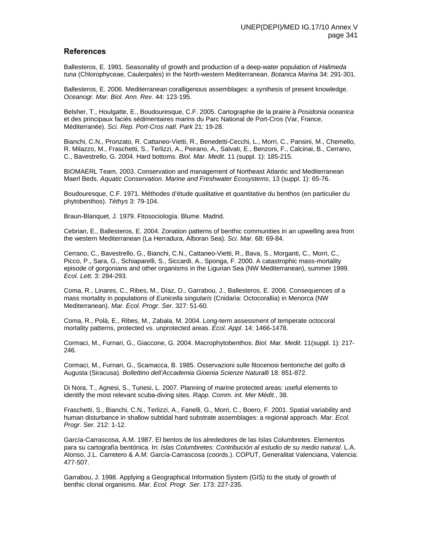## **References**

Ballesteros, E. 1991. Seasonality of growth and production of a deep-water population of *Halimeda tuna* (Chlorophyceae, Caulerpales) in the North-western Mediterranean. *Botanica Marina* 34: 291-301.

Ballesteros, E. 2006. Mediterranean coralligenous assemblages: a synthesis of present knowledge. *Oceanogr. Mar. Biol. Ann. Rev.* 44: 123-195.

Belsher, T., Houlgatte, E., Boudouresque, C.F. 2005. Cartographie de la prairie à *Posidonia oceanica* et des principaux faciès sédimentaires marins du Parc National de Port-Cros (Var, France, Méditerranée). *Sci. Rep. Port-Cros natl. Park* 21: 19-28.

Bianchi, C.N., Pronzato, R. Cattaneo-Vietti, R., Benedetti-Cecchi, L., Morri, C., Pansini, M., Chemello, R. Milazzo, M., Fraschetti, S., Terlizzi, A., Peirano, A., Salvati, E., Benzoni, F., Calcinai, B., Cerrano, C., Bavestrello, G. 2004. Hard bottoms. *Biol. Mar. Medit*. 11 (suppl. 1): 185-215.

BIOMAERL Team, 2003. Conservation and management of Northeast Atlantic and Mediterranean Maerl Beds. *Aquatic Conservation. Marine and Freshwater Ecosystems*, 13 (suppl. 1): 65-76.

Boudouresque, C.F. 1971. Méthodes d'étude qualitative et quantitative du benthos (en particulier du phytobenthos). *Téthys* 3: 79-104.

Braun-Blanquet, J. 1979. Fitosociología. Blume. Madrid.

Cebrian, E., Ballesteros, E. 2004. Zonation patterns of benthic communities in an upwelling area from the western Mediterranean (La Herradura, Alboran Sea). *Sci. Mar*. 68: 69-84.

Cerrano, C., Bavestrello, G., Bianchi, C.N., Cattaneo-Vietti, R., Bava, S., Morganti, C., Morri, C., Picco, P., Sara, G., Schiaparelli, S., Siccardi, A., Sponga, F. 2000. A catastrophic mass-mortality episode of gorgonians and other organisms in the Ligurian Sea (NW Mediterranean), summer 1999. *Ecol. Lett.* 3: 284-293.

Coma, R., Linares, C., Ribes, M., Díaz, D., Garrabou, J., Ballesteros, E. 2006. Consequences of a mass mortality in populations of *Eunicella singularis* (Cnidaria: Octocorallia) in Menorca (NW Mediterranean). *Mar. Ecol. Progr. Ser*. 327: 51-60.

Coma, R., Polà, E., Ribes, M., Zabala, M. 2004. Long-term assessment of temperate octocoral mortality patterns, protected vs. unprotected areas. *Ecol. Appl*. 14: 1466-1478.

Cormaci, M., Furnari, G., Giaccone, G. 2004. Macrophytobenthos. *Biol. Mar. Medit.* 11(suppl. 1): 217- 246.

Cormaci, M., Furnari, G., Scamacca, B. 1985. Osservazioni sulle fitocenosi bentoniche del golfo di Augusta (Siracusa). *Bollettino dell'Accademia Gioenia Scienze Naturalli* 18: 851-872.

Di Nora, T., Agnesi, S., Tunesi, L. 2007. Planning of marine protected areas: useful elements to identify the most relevant scuba-diving sites. *Rapp. Comm. int. Mer Médit.*, 38.

Fraschetti, S., Bianchi, C.N., Terlizzi, A., Fanelli, G., Morri, C., Boero, F. 2001. Spatial variability and human disturbance in shallow subtidal hard substrate assemblages: a regional approach. *Mar. Ecol. Progr. Ser*. 212: 1-12.

García-Carrascosa, A.M. 1987. El bentos de los alrededores de las Islas Columbretes. Elementos para su cartografía bentónica. In: *Islas Columbretes: Contribución al estudio de su medio natural*. L.A. Alonso, J.L. Carretero & A.M. García-Carrascosa (coords.). COPUT, Generalitat Valenciana, Valencia: 477-507.

Garrabou, J. 1998. Applying a Geographical Information System (GIS) to the study of growth of benthic clonal organisms. *Mar. Ecol. Progr. Ser*. 173: 227-235.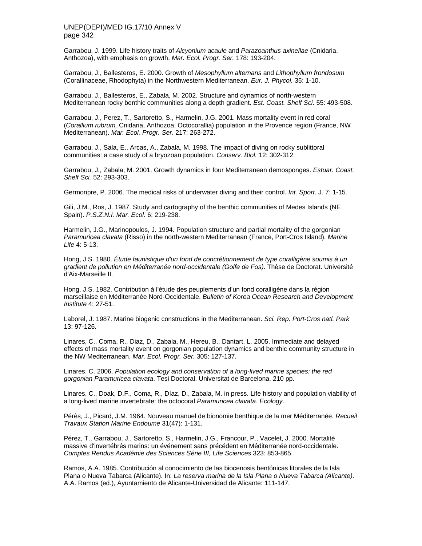Garrabou, J. 1999. Life history traits of *Alcyonium acaule* and *Parazoanthus axinellae* (Cnidaria, Anthozoa), with emphasis on growth. *Mar. Ecol. Progr. Ser.* 178: 193-204.

Garrabou, J., Ballesteros, E. 2000. Growth of *Mesophyllum alternans* and *Lithophyllum frondosum*  (Corallinaceae, Rhodophyta) in the Northwestern Mediterranean. *Eur. J. Phycol.* 35: 1-10.

Garrabou, J., Ballesteros, E., Zabala, M. 2002. Structure and dynamics of north-western Mediterranean rocky benthic communities along a depth gradient. *Est. Coast. Shelf Sci*. 55: 493-508.

Garrabou, J., Perez, T., Sartoretto, S., Harmelin, J.G. 2001. Mass mortality event in red coral (*Corallium rubrum,* Cnidaria, Anthozoa, Octocorallia) population in the Provence region (France, NW Mediterranean). *Mar. Ecol. Progr. Ser*. 217: 263-272.

Garrabou, J., Sala, E., Arcas, A., Zabala, M. 1998. The impact of diving on rocky sublittoral communities: a case study of a bryozoan population. *Conserv. Biol.* 12: 302-312.

Garrabou, J., Zabala, M. 2001. Growth dynamics in four Mediterranean demosponges. *Estuar. Coast. Shelf Sci.* 52: 293-303.

Germonpre, P. 2006. The medical risks of underwater diving and their control. *Int. Sport*. J. 7: 1-15.

Gili, J.M., Ros, J. 1987. Study and cartography of the benthic communities of Medes Islands (NE Spain). *P.S.Z.N.I. Mar. Ecol*. 6: 219-238.

Harmelin, J.G., Marinopoulos, J. 1994. Population structure and partial mortality of the gorgonian *Paramuricea clavata* (Risso) in the north-western Mediterranean (France, Port-Cros Island). *Marine Life* 4: 5-13.

Hong, J.S. 1980. *Étude faunistique d'un fond de concrétionnement de type coralligène soumis à un gradient de pollution en Méditerranée nord-occidentale (Golfe de Fos)*. Thèse de Doctorat. Université d'Aix-Marseille II.

Hong, J.S. 1982. Contribution à l'étude des peuplements d'un fond coralligène dans la région marseillaise en Méditerranée Nord-Occidentale. *Bulletin of Korea Ocean Research and Development Institute* 4: 27-51.

Laborel, J. 1987. Marine biogenic constructions in the Mediterranean. *Sci. Rep. Port-Cros natl. Park*  13: 97-126.

Linares, C., Coma, R., Diaz, D., Zabala, M., Hereu, B., Dantart, L. 2005. Immediate and delayed effects of mass mortality event on gorgonian population dynamics and benthic community structure in the NW Mediterranean. *Mar. Ecol. Progr. Ser.* 305: 127-137.

Linares, C. 2006. *Population ecology and conservation of a long-lived marine species: the red gorgonian Paramuricea clavata*. Tesi Doctoral. Universitat de Barcelona. 210 pp.

Linares, C., Doak, D.F., Coma, R., Díaz, D., Zabala, M. in press. Life history and population viability of a long-lived marine invertebrate: the octocoral *Paramuricea clavata*. *Ecology*.

Pérès, J., Picard, J.M. 1964. Nouveau manuel de bionomie benthique de la mer Méditerranée. *Recueil Travaux Station Marine Endoume* 31(47): 1-131.

Pérez, T., Garrabou, J., Sartoretto, S., Harmelin, J.G., Francour, P., Vacelet, J. 2000. Mortalité massive d'invertébrés marins: un événement sans précédent en Méditerranée nord-occidentale. *Comptes Rendus Académie des Sciences Série III, Life Sciences* 323: 853-865.

Ramos, A.A. 1985. Contribución al conocimiento de las biocenosis bentónicas litorales de la Isla Plana o Nueva Tabarca (Alicante). In: *La reserva marina de la Isla Plana o Nueva Tabarca (Alicante)*. A.A. Ramos (ed.), Ayuntamiento de Alicante-Universidad de Alicante: 111-147.